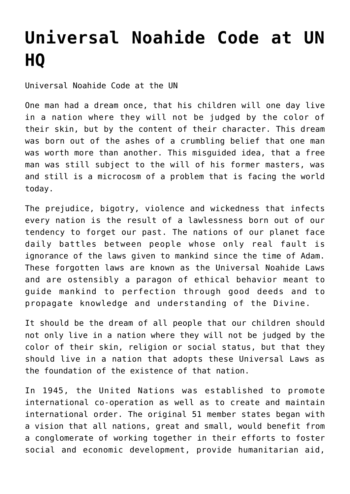## **[Universal Noahide Code at UN](http://noahide.org/universal-noahide-code-at-un-hq-2/) [HQ](http://noahide.org/universal-noahide-code-at-un-hq-2/)**

Universal Noahide Code at the UN

One man had a dream once, that his children will one day live in a nation where they will not be judged by the color of their skin, but by the content of their character. This dream was born out of the ashes of a crumbling belief that one man was worth more than another. This misguided idea, that a free man was still subject to the will of his former masters, was and still is a microcosm of a problem that is facing the world today.

The prejudice, bigotry, violence and wickedness that infects every nation is the result of a lawlessness born out of our tendency to forget our past. The nations of our planet face daily battles between people whose only real fault is ignorance of the laws given to mankind since the time of Adam. These forgotten laws are known as the Universal Noahide Laws and are ostensibly a paragon of ethical behavior meant to guide mankind to perfection through good deeds and to propagate knowledge and understanding of the Divine.

It should be the dream of all people that our children should not only live in a nation where they will not be judged by the color of their skin, religion or social status, but that they should live in a nation that adopts these Universal Laws as the foundation of the existence of that nation.

In 1945, the United Nations was established to promote international co-operation as well as to create and maintain international order. The original 51 member states began with a vision that all nations, great and small, would benefit from a conglomerate of working together in their efforts to foster social and economic development, provide humanitarian aid,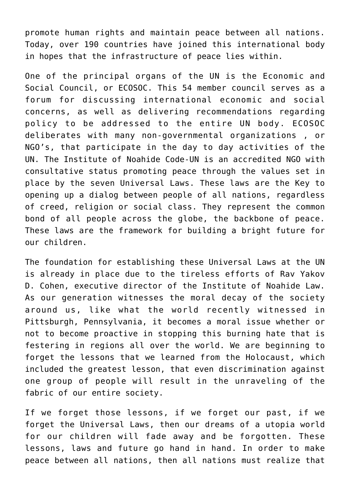promote human rights and maintain peace between all nations. Today, over 190 countries have joined this international body in hopes that the infrastructure of peace lies within.

One of the principal organs of the UN is the Economic and Social Council, or ECOSOC. This 54 member council serves as a forum for discussing international economic and social concerns, as well as delivering recommendations regarding policy to be addressed to the entire UN body. ECOSOC deliberates with many non-governmental organizations , or NGO's, that participate in the day to day activities of the UN. The Institute of Noahide Code-UN is an accredited NGO with consultative status promoting peace through the values set in place by the seven Universal Laws. These laws are the Key to opening up a dialog between people of all nations, regardless of creed, religion or social class. They represent the common bond of all people across the globe, the backbone of peace. These laws are the framework for building a bright future for our children.

The foundation for establishing these Universal Laws at the UN is already in place due to the tireless efforts of Rav Yakov D. Cohen, executive director of the Institute of Noahide Law. As our generation witnesses the moral decay of the society around us, like what the world recently witnessed in Pittsburgh, Pennsylvania, it becomes a moral issue whether or not to become proactive in stopping this burning hate that is festering in regions all over the world. We are beginning to forget the lessons that we learned from the Holocaust, which included the greatest lesson, that even discrimination against one group of people will result in the unraveling of the fabric of our entire society.

If we forget those lessons, if we forget our past, if we forget the Universal Laws, then our dreams of a utopia world for our children will fade away and be forgotten. These lessons, laws and future go hand in hand. In order to make peace between all nations, then all nations must realize that